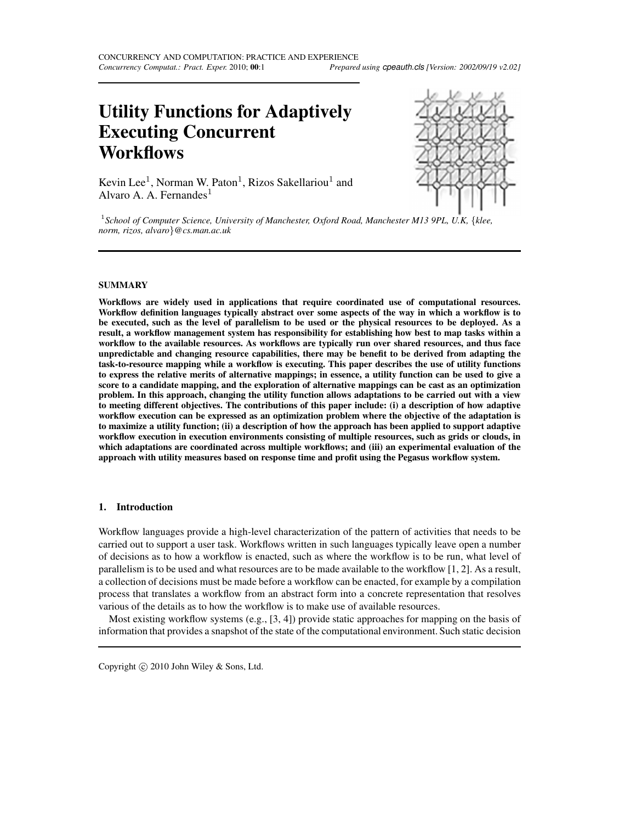# Utility Functions for Adaptively Executing Concurrent **Workflows**

Kevin Lee<sup>1</sup>, Norman W. Paton<sup>1</sup>, Rizos Sakellariou<sup>1</sup> and Alvaro A. A. Fernandes<sup>1</sup>



1 *School of Computer Science, University of Manchester, Oxford Road, Manchester M13 9PL, U.K,* {*klee, norm, rizos, alvaro*}*@cs.man.ac.uk*

### **SUMMARY**

Workflows are widely used in applications that require coordinated use of computational resources. Workflow definition languages typically abstract over some aspects of the way in which a workflow is to be executed, such as the level of parallelism to be used or the physical resources to be deployed. As a result, a workflow management system has responsibility for establishing how best to map tasks within a workflow to the available resources. As workflows are typically run over shared resources, and thus face unpredictable and changing resource capabilities, there may be benefit to be derived from adapting the task-to-resource mapping while a workflow is executing. This paper describes the use of utility functions to express the relative merits of alternative mappings; in essence, a utility function can be used to give a score to a candidate mapping, and the exploration of alternative mappings can be cast as an optimization problem. In this approach, changing the utility function allows adaptations to be carried out with a view to meeting different objectives. The contributions of this paper include: (i) a description of how adaptive workflow execution can be expressed as an optimization problem where the objective of the adaptation is to maximize a utility function; (ii) a description of how the approach has been applied to support adaptive workflow execution in execution environments consisting of multiple resources, such as grids or clouds, in which adaptations are coordinated across multiple workflows; and (iii) an experimental evaluation of the approach with utility measures based on response time and profit using the Pegasus workflow system.

### 1. Introduction

Workflow languages provide a high-level characterization of the pattern of activities that needs to be carried out to support a user task. Workflows written in such languages typically leave open a number of decisions as to how a workflow is enacted, such as where the workflow is to be run, what level of parallelism is to be used and what resources are to be made available to the workflow [1, 2]. As a result, a collection of decisions must be made before a workflow can be enacted, for example by a compilation process that translates a workflow from an abstract form into a concrete representation that resolves various of the details as to how the workflow is to make use of available resources.

Most existing workflow systems (e.g., [3, 4]) provide static approaches for mapping on the basis of information that provides a snapshot of the state of the computational environment. Such static decision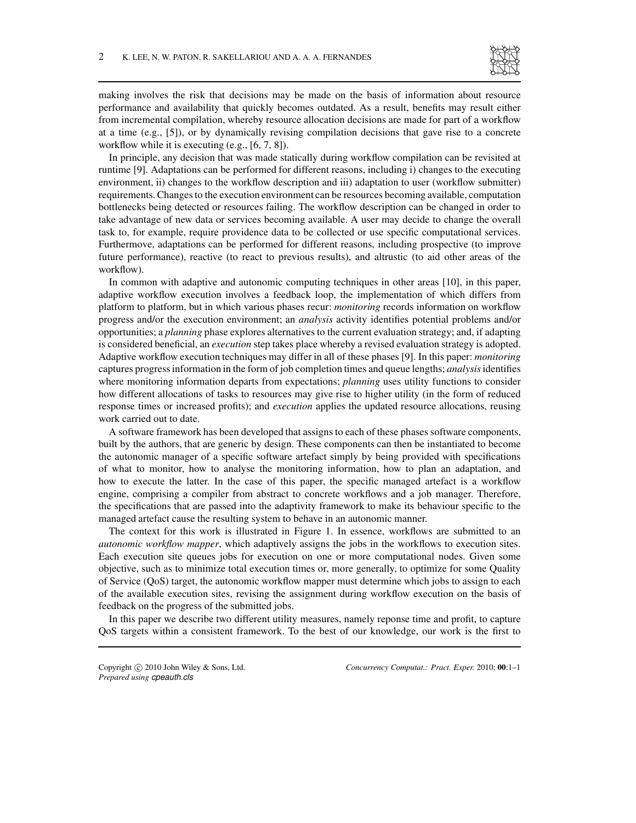

making involves the risk that decisions may be made on the basis of information about resource performance and availability that quickly becomes outdated. As a result, benefits may result either from incremental compilation, whereby resource allocation decisions are made for part of a workflow at a time (e.g., [5]), or by dynamically revising compilation decisions that gave rise to a concrete workflow while it is executing (e.g., [6, 7, 8]).

In principle, any decision that was made statically during workflow compilation can be revisited at runtime [9]. Adaptations can be performed for different reasons, including i) changes to the executing environment, ii) changes to the workflow description and iii) adaptation to user (workflow submitter) requirements. Changes to the execution environment can be resources becoming available, computation bottlenecks being detected or resources failing. The workflow description can be changed in order to take advantage of new data or services becoming available. A user may decide to change the overall task to, for example, require providence data to be collected or use specific computational services. Furthermove, adaptations can be performed for different reasons, including prospective (to improve future performance), reactive (to react to previous results), and altrustic (to aid other areas of the workflow).

In common with adaptive and autonomic computing techniques in other areas [10], in this paper, adaptive workflow execution involves a feedback loop, the implementation of which differs from platform to platform, but in which various phases recur: *monitoring* records information on workflow progress and/or the execution environment; an *analysis* activity identifies potential problems and/or opportunities; a *planning* phase explores alternatives to the current evaluation strategy; and, if adapting is considered beneficial, an *execution* step takes place whereby a revised evaluation strategy is adopted. Adaptive workflow execution techniques may differ in all of these phases [9]. In this paper: *monitoring* captures progress information in the form of job completion times and queue lengths; *analysis*identifies where monitoring information departs from expectations; *planning* uses utility functions to consider how different allocations of tasks to resources may give rise to higher utility (in the form of reduced response times or increased profits); and *execution* applies the updated resource allocations, reusing work carried out to date.

A software framework has been developed that assigns to each of these phases software components, built by the authors, that are generic by design. These components can then be instantiated to become the autonomic manager of a specific software artefact simply by being provided with specifications of what to monitor, how to analyse the monitoring information, how to plan an adaptation, and how to execute the latter. In the case of this paper, the specific managed artefact is a workflow engine, comprising a compiler from abstract to concrete workflows and a job manager. Therefore, the specifications that are passed into the adaptivity framework to make its behaviour specific to the managed artefact cause the resulting system to behave in an autonomic manner.

The context for this work is illustrated in Figure 1. In essence, workflows are submitted to an *autonomic workflow mapper*, which adaptively assigns the jobs in the workflows to execution sites. Each execution site queues jobs for execution on one or more computational nodes. Given some objective, such as to minimize total execution times or, more generally, to optimize for some Quality of Service (QoS) target, the autonomic workflow mapper must determine which jobs to assign to each of the available execution sites, revising the assignment during workflow execution on the basis of feedback on the progress of the submitted jobs.

In this paper we describe two different utility measures, namely reponse time and profit, to capture QoS targets within a consistent framework. To the best of our knowledge, our work is the first to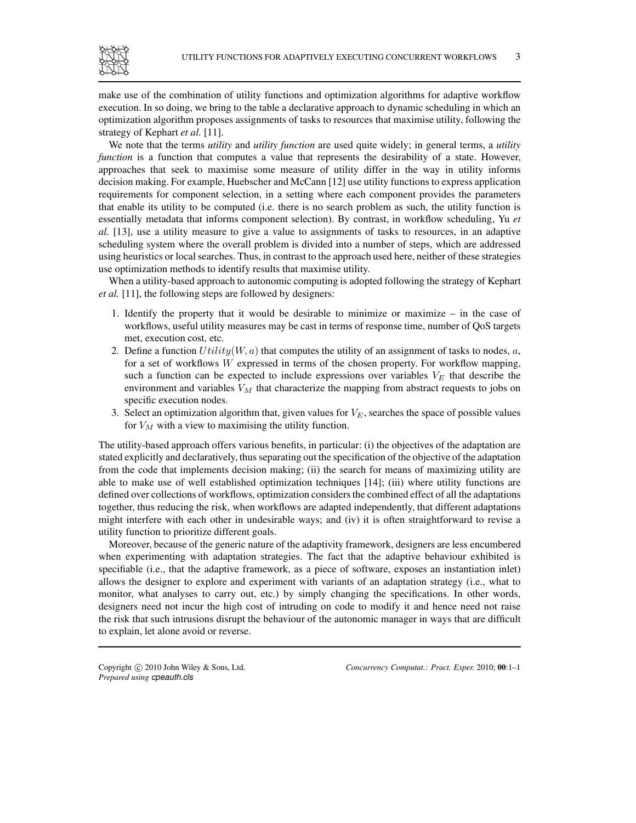

make use of the combination of utility functions and optimization algorithms for adaptive workflow execution. In so doing, we bring to the table a declarative approach to dynamic scheduling in which an optimization algorithm proposes assignments of tasks to resources that maximise utility, following the strategy of Kephart *et al.* [11].

We note that the terms *utility* and *utility function* are used quite widely; in general terms, a *utility function* is a function that computes a value that represents the desirability of a state. However, approaches that seek to maximise some measure of utility differ in the way in utility informs decision making. For example, Huebscher and McCann [12] use utility functions to express application requirements for component selection, in a setting where each component provides the parameters that enable its utility to be computed (i.e. there is no search problem as such, the utility function is essentially metadata that informs component selection). By contrast, in workflow scheduling, Yu *et al.* [13], use a utility measure to give a value to assignments of tasks to resources, in an adaptive scheduling system where the overall problem is divided into a number of steps, which are addressed using heuristics or local searches. Thus, in contrast to the approach used here, neither of these strategies use optimization methods to identify results that maximise utility.

When a utility-based approach to autonomic computing is adopted following the strategy of Kephart *et al.* [11], the following steps are followed by designers:

- 1. Identify the property that it would be desirable to minimize or maximize in the case of workflows, useful utility measures may be cast in terms of response time, number of QoS targets met, execution cost, etc.
- 2. Define a function  $Utility(W, a)$  that computes the utility of an assignment of tasks to nodes, a, for a set of workflows W expressed in terms of the chosen property. For workflow mapping, such a function can be expected to include expressions over variables  $V_E$  that describe the environment and variables  $V_M$  that characterize the mapping from abstract requests to jobs on specific execution nodes.
- 3. Select an optimization algorithm that, given values for  $V_E$ , searches the space of possible values for  $V_M$  with a view to maximising the utility function.

The utility-based approach offers various benefits, in particular: (i) the objectives of the adaptation are stated explicitly and declaratively, thus separating out the specification of the objective of the adaptation from the code that implements decision making; (ii) the search for means of maximizing utility are able to make use of well established optimization techniques [14]; (iii) where utility functions are defined over collections of workflows, optimization considers the combined effect of all the adaptations together, thus reducing the risk, when workflows are adapted independently, that different adaptations might interfere with each other in undesirable ways; and (iv) it is often straightforward to revise a utility function to prioritize different goals.

Moreover, because of the generic nature of the adaptivity framework, designers are less encumbered when experimenting with adaptation strategies. The fact that the adaptive behaviour exhibited is specifiable (i.e., that the adaptive framework, as a piece of software, exposes an instantiation inlet) allows the designer to explore and experiment with variants of an adaptation strategy (i.e., what to monitor, what analyses to carry out, etc.) by simply changing the specifications. In other words, designers need not incur the high cost of intruding on code to modify it and hence need not raise the risk that such intrusions disrupt the behaviour of the autonomic manager in ways that are difficult to explain, let alone avoid or reverse.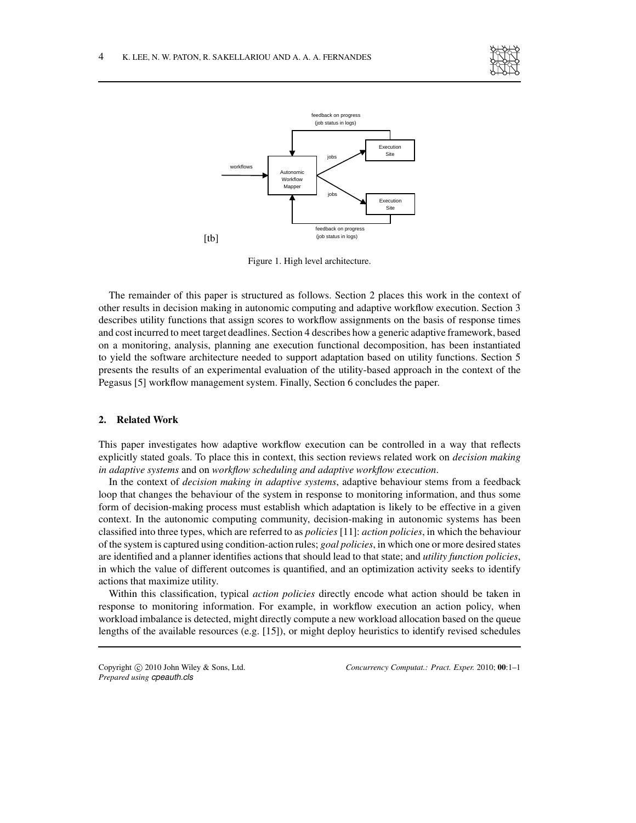



Figure 1. High level architecture.

The remainder of this paper is structured as follows. Section 2 places this work in the context of other results in decision making in autonomic computing and adaptive workflow execution. Section 3 describes utility functions that assign scores to workflow assignments on the basis of response times and cost incurred to meet target deadlines. Section 4 describes how a generic adaptive framework, based on a monitoring, analysis, planning ane execution functional decomposition, has been instantiated to yield the software architecture needed to support adaptation based on utility functions. Section 5 presents the results of an experimental evaluation of the utility-based approach in the context of the Pegasus [5] workflow management system. Finally, Section 6 concludes the paper.

### 2. Related Work

This paper investigates how adaptive workflow execution can be controlled in a way that reflects explicitly stated goals. To place this in context, this section reviews related work on *decision making in adaptive systems* and on *workflow scheduling and adaptive workflow execution*.

In the context of *decision making in adaptive systems*, adaptive behaviour stems from a feedback loop that changes the behaviour of the system in response to monitoring information, and thus some form of decision-making process must establish which adaptation is likely to be effective in a given context. In the autonomic computing community, decision-making in autonomic systems has been classified into three types, which are referred to as *policies* [11]: *action policies*, in which the behaviour of the system is captured using condition-action rules; *goal policies*, in which one or more desired states are identified and a planner identifies actions that should lead to that state; and *utility function policies*, in which the value of different outcomes is quantified, and an optimization activity seeks to identify actions that maximize utility.

Within this classification, typical *action policies* directly encode what action should be taken in response to monitoring information. For example, in workflow execution an action policy, when workload imbalance is detected, might directly compute a new workload allocation based on the queue lengths of the available resources (e.g. [15]), or might deploy heuristics to identify revised schedules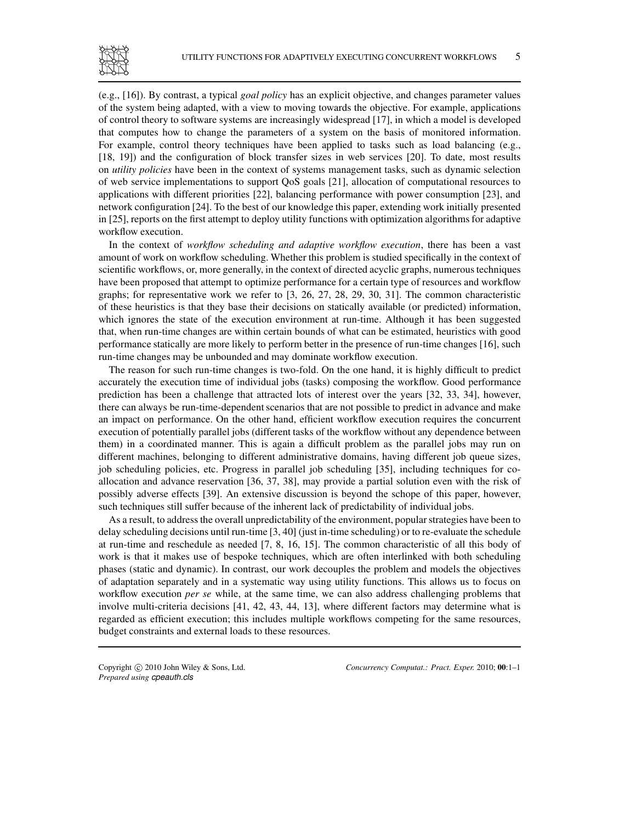

(e.g., [16]). By contrast, a typical *goal policy* has an explicit objective, and changes parameter values of the system being adapted, with a view to moving towards the objective. For example, applications of control theory to software systems are increasingly widespread [17], in which a model is developed that computes how to change the parameters of a system on the basis of monitored information. For example, control theory techniques have been applied to tasks such as load balancing (e.g., [18, 19]) and the configuration of block transfer sizes in web services [20]. To date, most results on *utility policies* have been in the context of systems management tasks, such as dynamic selection of web service implementations to support QoS goals [21], allocation of computational resources to applications with different priorities [22], balancing performance with power consumption [23], and network configuration [24]. To the best of our knowledge this paper, extending work initially presented in [25], reports on the first attempt to deploy utility functions with optimization algorithms for adaptive workflow execution.

In the context of *workflow scheduling and adaptive workflow execution*, there has been a vast amount of work on workflow scheduling. Whether this problem is studied specifically in the context of scientific workflows, or, more generally, in the context of directed acyclic graphs, numerous techniques have been proposed that attempt to optimize performance for a certain type of resources and workflow graphs; for representative work we refer to [3, 26, 27, 28, 29, 30, 31]. The common characteristic of these heuristics is that they base their decisions on statically available (or predicted) information, which ignores the state of the execution environment at run-time. Although it has been suggested that, when run-time changes are within certain bounds of what can be estimated, heuristics with good performance statically are more likely to perform better in the presence of run-time changes [16], such run-time changes may be unbounded and may dominate workflow execution.

The reason for such run-time changes is two-fold. On the one hand, it is highly difficult to predict accurately the execution time of individual jobs (tasks) composing the workflow. Good performance prediction has been a challenge that attracted lots of interest over the years [32, 33, 34], however, there can always be run-time-dependent scenarios that are not possible to predict in advance and make an impact on performance. On the other hand, efficient workflow execution requires the concurrent execution of potentially parallel jobs (different tasks of the workflow without any dependence between them) in a coordinated manner. This is again a difficult problem as the parallel jobs may run on different machines, belonging to different administrative domains, having different job queue sizes, job scheduling policies, etc. Progress in parallel job scheduling [35], including techniques for coallocation and advance reservation [36, 37, 38], may provide a partial solution even with the risk of possibly adverse effects [39]. An extensive discussion is beyond the schope of this paper, however, such techniques still suffer because of the inherent lack of predictability of individual jobs.

As a result, to address the overall unpredictability of the environment, popular strategies have been to delay scheduling decisions until run-time [3, 40] (just in-time scheduling) or to re-evaluate the schedule at run-time and reschedule as needed [7, 8, 16, 15]. The common characteristic of all this body of work is that it makes use of bespoke techniques, which are often interlinked with both scheduling phases (static and dynamic). In contrast, our work decouples the problem and models the objectives of adaptation separately and in a systematic way using utility functions. This allows us to focus on workflow execution *per se* while, at the same time, we can also address challenging problems that involve multi-criteria decisions [41, 42, 43, 44, 13], where different factors may determine what is regarded as efficient execution; this includes multiple workflows competing for the same resources, budget constraints and external loads to these resources.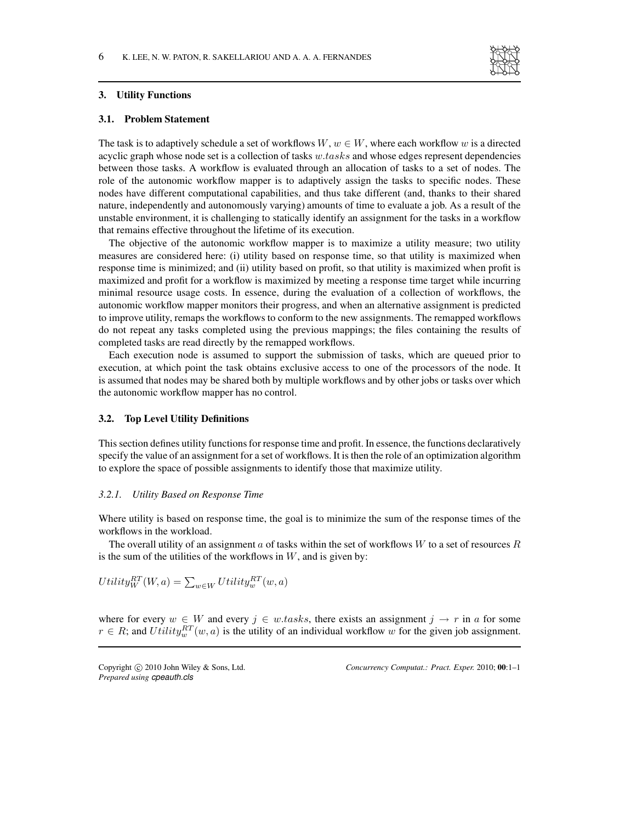

# 3. Utility Functions

# 3.1. Problem Statement

The task is to adaptively schedule a set of workflows  $W, w \in W$ , where each workflow w is a directed acyclic graph whose node set is a collection of tasks  $w.\text{tasks}$  and whose edges represent dependencies between those tasks. A workflow is evaluated through an allocation of tasks to a set of nodes. The role of the autonomic workflow mapper is to adaptively assign the tasks to specific nodes. These nodes have different computational capabilities, and thus take different (and, thanks to their shared nature, independently and autonomously varying) amounts of time to evaluate a job. As a result of the unstable environment, it is challenging to statically identify an assignment for the tasks in a workflow that remains effective throughout the lifetime of its execution.

The objective of the autonomic workflow mapper is to maximize a utility measure; two utility measures are considered here: (i) utility based on response time, so that utility is maximized when response time is minimized; and (ii) utility based on profit, so that utility is maximized when profit is maximized and profit for a workflow is maximized by meeting a response time target while incurring minimal resource usage costs. In essence, during the evaluation of a collection of workflows, the autonomic workflow mapper monitors their progress, and when an alternative assignment is predicted to improve utility, remaps the workflows to conform to the new assignments. The remapped workflows do not repeat any tasks completed using the previous mappings; the files containing the results of completed tasks are read directly by the remapped workflows.

Each execution node is assumed to support the submission of tasks, which are queued prior to execution, at which point the task obtains exclusive access to one of the processors of the node. It is assumed that nodes may be shared both by multiple workflows and by other jobs or tasks over which the autonomic workflow mapper has no control.

### 3.2. Top Level Utility Definitions

This section defines utility functions for response time and profit. In essence, the functions declaratively specify the value of an assignment for a set of workflows. It isthen the role of an optimization algorithm to explore the space of possible assignments to identify those that maximize utility.

### *3.2.1. Utility Based on Response Time*

Where utility is based on response time, the goal is to minimize the sum of the response times of the workflows in the workload.

The overall utility of an assignment a of tasks within the set of workflows  $W$  to a set of resources  $R$ is the sum of the utilities of the workflows in  $W$ , and is given by:

$$
Utility_W^{RT}(W,a) = \sum_{w \in W} Utility_w^{RT}(w,a)
$$

where for every  $w \in W$  and every  $j \in w$  tasks, there exists an assignment  $j \to r$  in a for some  $r \in R$ ; and  $Utility_w^{RT}(w, a)$  is the utility of an individual workflow w for the given job assignment.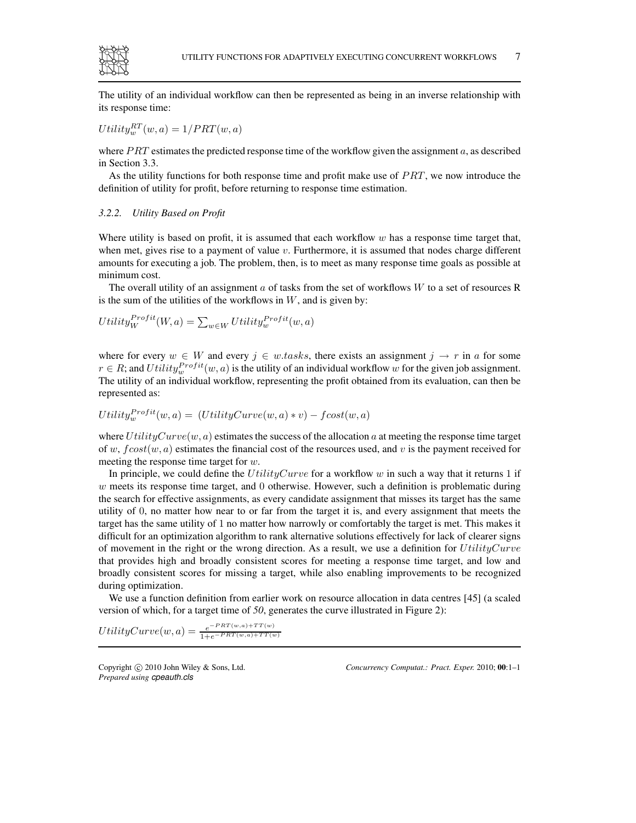

The utility of an individual workflow can then be represented as being in an inverse relationship with its response time:

 $Utility_w^{RT}(w, a) = 1/ART(w, a)$ 

where  $PRT$  estimates the predicted response time of the workflow given the assignment a, as described in Section 3.3.

As the utility functions for both response time and profit make use of PRT, we now introduce the definition of utility for profit, before returning to response time estimation.

### *3.2.2. Utility Based on Profit*

Where utility is based on profit, it is assumed that each workflow  $w$  has a response time target that, when met, gives rise to a payment of value  $v$ . Furthermore, it is assumed that nodes charge different amounts for executing a job. The problem, then, is to meet as many response time goals as possible at minimum cost.

The overall utility of an assignment a of tasks from the set of workflows  $W$  to a set of resources R is the sum of the utilities of the workflows in  $W$ , and is given by:

$$
Utility_W^{Profit}(W,a) = \sum_{w \in W} Utility_w^{Profit}(w,a)
$$

where for every  $w \in W$  and every  $j \in w$  tasks, there exists an assignment  $j \to r$  in a for some  $r \in R$ ; and  $Utility_w^{Profit}(w, a)$  is the utility of an individual workflow w for the given job assignment. The utility of an individual workflow, representing the profit obtained from its evaluation, can then be represented as:

$$
Utility_w^{Profit}(w,a) = (UtilityCurve(w,a)*v) - fcost(w,a)
$$

where  $UtilityCurve(w, a)$  estimates the success of the allocation a at meeting the response time target of w,  $fcost(w, a)$  estimates the financial cost of the resources used, and v is the payment received for meeting the response time target for w.

In principle, we could define the UtilityCurve for a workflow w in such a way that it returns 1 if  $w$  meets its response time target, and  $0$  otherwise. However, such a definition is problematic during the search for effective assignments, as every candidate assignment that misses its target has the same utility of 0, no matter how near to or far from the target it is, and every assignment that meets the target has the same utility of 1 no matter how narrowly or comfortably the target is met. This makes it difficult for an optimization algorithm to rank alternative solutions effectively for lack of clearer signs of movement in the right or the wrong direction. As a result, we use a definition for  $UtilityCurve$ that provides high and broadly consistent scores for meeting a response time target, and low and broadly consistent scores for missing a target, while also enabling improvements to be recognized during optimization.

We use a function definition from earlier work on resource allocation in data centres [45] (a scaled version of which, for a target time of *50*, generates the curve illustrated in Figure 2):

$$
UtilityCurve(w,a) = \frac{e^{-PRT(w,a) + TT(w)}}{1 + e^{-PRT(w,a) + TT(w)}}
$$

*Prepared using cpeauth.cls*

Copyright 
copyright 
copyright 
concurrency Computat.: Pract. Exper. 2010; 00:1-1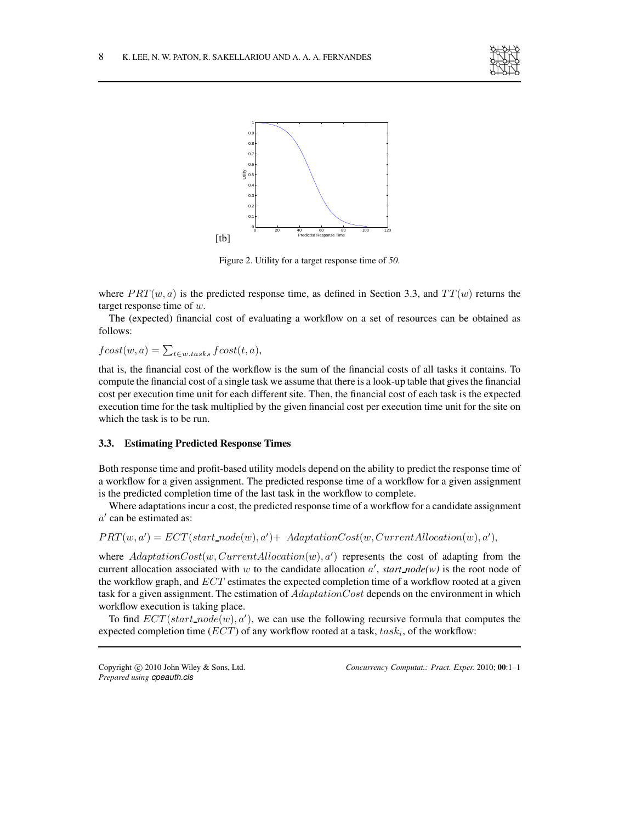



Figure 2. Utility for a target response time of *50*.

where  $PRT(w, a)$  is the predicted response time, as defined in Section 3.3, and  $TT(w)$  returns the target response time of  $w$ .

The (expected) financial cost of evaluating a workflow on a set of resources can be obtained as follows:

 $fcost(w, a) = \sum_{t \in w. tasks} fcost(t, a),$ 

that is, the financial cost of the workflow is the sum of the financial costs of all tasks it contains. To compute the financial cost of a single task we assume that there is a look-up table that gives the financial cost per execution time unit for each different site. Then, the financial cost of each task is the expected execution time for the task multiplied by the given financial cost per execution time unit for the site on which the task is to be run.

### 3.3. Estimating Predicted Response Times

Both response time and profit-based utility models depend on the ability to predict the response time of a workflow for a given assignment. The predicted response time of a workflow for a given assignment is the predicted completion time of the last task in the workflow to complete.

Where adaptations incur a cost, the predicted response time of a workflow for a candidate assignment  $a'$  can be estimated as:

 $PRT(w, a') = ECT(start, node(w), a') + AdaptationCost(w, Current Allocation(w), a'),$ 

where  $AdaptationCost(w, Current Allocation(w), a')$  represents the cost of adapting from the current allocation associated with w to the candidate allocation  $a'$ , *start*  $node(w)$  is the root node of the workflow graph, and ECT estimates the expected completion time of a workflow rooted at a given task for a given assignment. The estimation of *AdaptationCost* depends on the environment in which workflow execution is taking place.

To find  $ECT(start-node(w), a')$ , we can use the following recursive formula that computes the expected completion time ( $ECT$ ) of any workflow rooted at a task,  $task_i$ , of the workflow: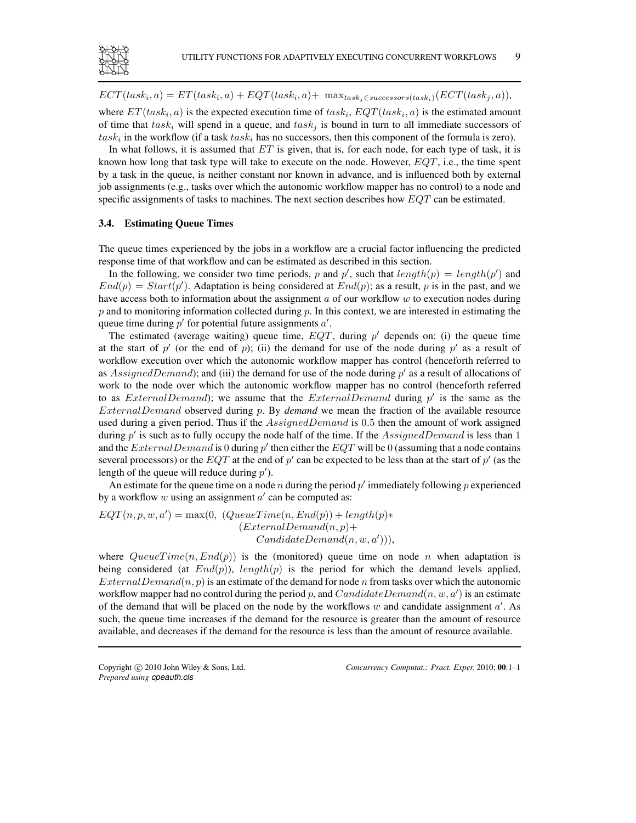

 $ECT(task<sub>i</sub>, a) = ET(task<sub>i</sub>, a) + EQT(task<sub>i</sub>, a) + max_{task<sub>j</sub> \in successors(task<sub>i</sub>)} (ECT(task<sub>j</sub>, a)),$ 

where  $ET(task_i, a)$  is the expected execution time of  $task_i, EQT(task_i, a)$  is the estimated amount of time that  $task_i$  will spend in a queue, and  $task_i$  is bound in turn to all immediate successors of  $task_i$  in the workflow (if a task  $task_i$  has no successors, then this component of the formula is zero).

In what follows, it is assumed that  $ET$  is given, that is, for each node, for each type of task, it is known how long that task type will take to execute on the node. However,  $EQT$ , i.e., the time spent by a task in the queue, is neither constant nor known in advance, and is influenced both by external job assignments (e.g., tasks over which the autonomic workflow mapper has no control) to a node and specific assignments of tasks to machines. The next section describes how  $EQT$  can be estimated.

# 3.4. Estimating Queue Times

The queue times experienced by the jobs in a workflow are a crucial factor influencing the predicted response time of that workflow and can be estimated as described in this section.

In the following, we consider two time periods, p and p', such that  $length(p) = length(p')$  and  $End(p) = Start(p')$ . Adaptation is being considered at  $End(p)$ ; as a result, p is in the past, and we have access both to information about the assignment  $a$  of our workflow  $w$  to execution nodes during  $p$  and to monitoring information collected during  $p$ . In this context, we are interested in estimating the queue time during  $p'$  for potential future assignments  $a'$ .

The estimated (average waiting) queue time,  $EQT$ , during  $p'$  depends on: (i) the queue time at the start of  $p'$  (or the end of  $p$ ); (ii) the demand for use of the node during  $p'$  as a result of workflow execution over which the autonomic workflow mapper has control (henceforth referred to as  $Assigned Demand$ ); and (iii) the demand for use of the node during  $p'$  as a result of allocations of work to the node over which the autonomic workflow mapper has no control (henceforth referred to as  $ExternalDemand$ ; we assume that the  $ExternalDemand$  during p' is the same as the ExternalDemand observed during p. By *demand* we mean the fraction of the available resource used during a given period. Thus if the *AssignedDemand* is 0.5 then the amount of work assigned during  $p'$  is such as to fully occupy the node half of the time. If the  $Assigned Demand$  is less than 1 and the  $External Demand$  is 0 during  $p'$  then either the  $EQT$  will be 0 (assuming that a node contains several processors) or the  $EQT$  at the end of  $p'$  can be expected to be less than at the start of  $p'$  (as the length of the queue will reduce during  $p'$ ).

An estimate for the queue time on a node *n* during the period  $p'$  immediately following  $p$  experienced by a workflow  $w$  using an assignment  $a'$  can be computed as:

 $EQT(n, p, w, a') = \max(0, (QueueTime(n, End(p)) + length(p)*$  $(External Demand(n, p) +$  $Candidate Demand(n, w, a'))$ 

where  $QueueTime(n, End(p))$  is the (monitored) queue time on node n when adaptation is being considered (at  $End(p)$ ),  $length(p)$  is the period for which the demand levels applied,  $ExternalDomain(n, p)$  is an estimate of the demand for node n from tasks over which the autonomic workflow mapper had no control during the period p, and  $CandidateDomain(n, w, a')$  is an estimate of the demand that will be placed on the node by the workflows  $w$  and candidate assignment  $a'$ . As such, the queue time increases if the demand for the resource is greater than the amount of resource available, and decreases if the demand for the resource is less than the amount of resource available.

*Prepared using cpeauth.cls*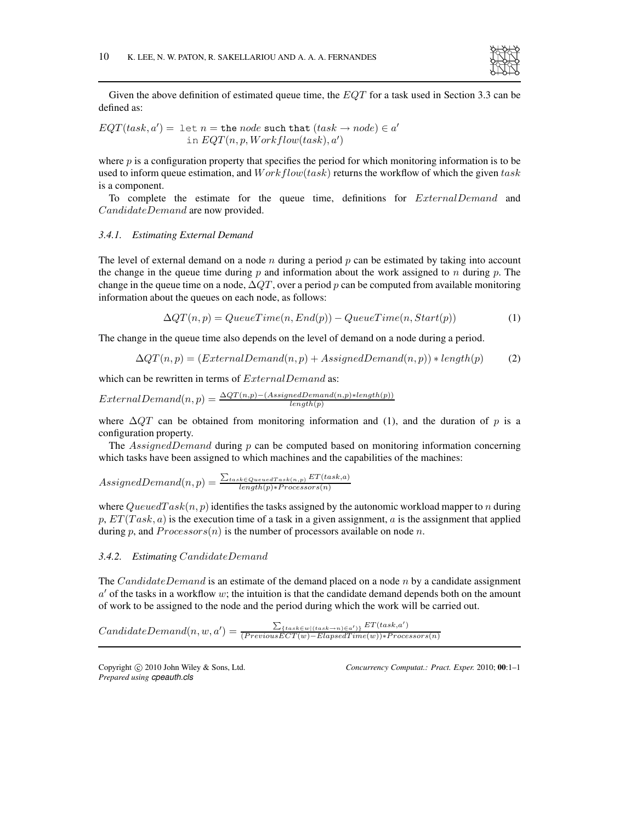

Given the above definition of estimated queue time, the  $EQT$  for a task used in Section 3.3 can be defined as:

$$
EQT(task, a') = \text{let } n = \text{the node such that } (task \rightarrow node) \in a'
$$
  
in 
$$
EQT(n, p, Workflow(task), a')
$$

where  $p$  is a configuration property that specifies the period for which monitoring information is to be used to inform queue estimation, and  $Workflow(task)$  returns the workflow of which the given task is a component.

To complete the estimate for the queue time, definitions for ExternalDemand and CandidateDemand are now provided.

### *3.4.1. Estimating External Demand*

The level of external demand on a node n during a period  $p$  can be estimated by taking into account the change in the queue time during  $p$  and information about the work assigned to  $n$  during  $p$ . The change in the queue time on a node,  $\Delta QT$ , over a period p can be computed from available monitoring information about the queues on each node, as follows:

$$
\Delta QT(n, p) = QueueTime(n, End(p)) - QueueTime(n, Start(p))
$$
\n(1)

The change in the queue time also depends on the level of demand on a node during a period.

$$
\Delta QT(n,p) = (External Demand(n,p) + AssignedDemand(n,p)) * length(p) \tag{2}
$$

which can be rewritten in terms of  $External Demand$  as:

 $External Demand(n, p) = \frac{\Delta QT(n, p) - (AssignedDemand(n, p) * length(p))}{length(p)}$ 

where  $\Delta QT$  can be obtained from monitoring information and (1), and the duration of p is a configuration property.

The  $Assigned Demand$  during  $p$  can be computed based on monitoring information concerning which tasks have been assigned to which machines and the capabilities of the machines:

$$
Assigned Demand(n, p) = \frac{\sum_{task \in QueueTask(n, p)} ET(task, a)}{length(p) * Processors(n)}
$$

where  $QueueTask(n, p)$  identifies the tasks assigned by the autonomic workload mapper to n during  $p, ET(Task, a)$  is the execution time of a task in a given assignment, a is the assignment that applied during p, and  $Processors(n)$  is the number of processors available on node n.

#### *3.4.2. Estimating* CandidateDemand

The CandidateDemand is an estimate of the demand placed on a node n by a candidate assignment  $a'$  of the tasks in a workflow w; the intuition is that the candidate demand depends both on the amount of work to be assigned to the node and the period during which the work will be carried out.

 $Candidate Demand(n, w, a') = \frac{\sum_{\{task \in w | (task \rightarrow n) \in a')\}} ET(task, a')}{(PrecisionET(m) - ElangedTime(w)) * Force}$  $(Previous ECT(w) – ElangedTime(w))*Processors(n)$ 

*Prepared using cpeauth.cls*

Copyright 
copyright 
copyright 
concurrency Computat.: Pract. Exper. 2010; 00:1-1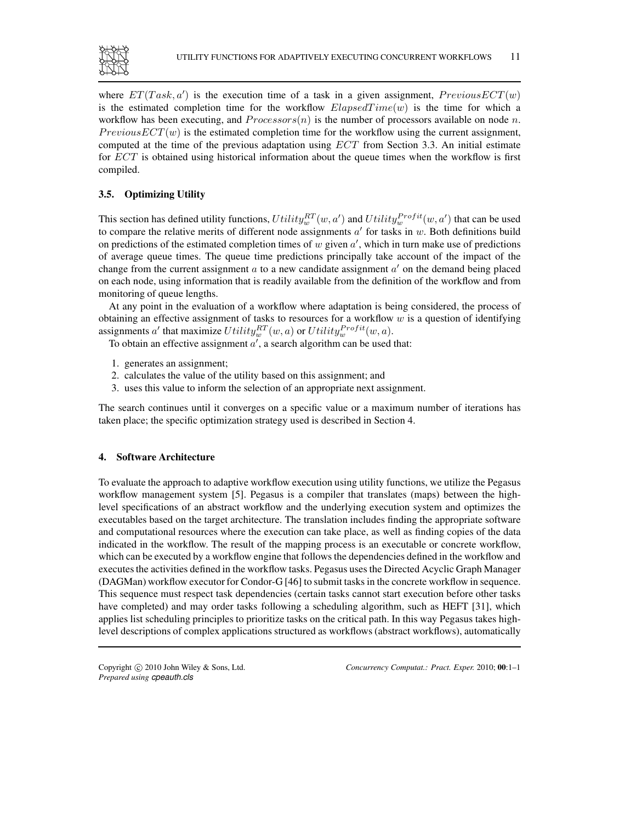

where  $ET(Task, a')$  is the execution time of a task in a given assignment,  $Previous ECT(w)$ is the estimated completion time for the workflow  $Elapse dTime(w)$  is the time for which a workflow has been executing, and  $Processors(n)$  is the number of processors available on node n.  $Previous ECT(w)$  is the estimated completion time for the workflow using the current assignment, computed at the time of the previous adaptation using  $ECT$  from Section 3.3. An initial estimate for *ECT* is obtained using historical information about the queue times when the workflow is first compiled.

# 3.5. Optimizing Utility

This section has defined utility functions,  $Utility_w^{RT}(w, a')$  and  $Utility_w^{Profit}(w, a')$  that can be used to compare the relative merits of different node assignments  $a'$  for tasks in w. Both definitions build on predictions of the estimated completion times of w given  $a'$ , which in turn make use of predictions of average queue times. The queue time predictions principally take account of the impact of the change from the current assignment  $a$  to a new candidate assignment  $a'$  on the demand being placed on each node, using information that is readily available from the definition of the workflow and from monitoring of queue lengths.

At any point in the evaluation of a workflow where adaptation is being considered, the process of obtaining an effective assignment of tasks to resources for a workflow  $w$  is a question of identifying assignments  $a'$  that maximize  $Utility_w^{RT}(w, a)$  or  $Utility_w^{Profit}(w, a)$ .

To obtain an effective assignment  $a'$ , a search algorithm can be used that:

- 1. generates an assignment;
- 2. calculates the value of the utility based on this assignment; and
- 3. uses this value to inform the selection of an appropriate next assignment.

The search continues until it converges on a specific value or a maximum number of iterations has taken place; the specific optimization strategy used is described in Section 4.

# 4. Software Architecture

To evaluate the approach to adaptive workflow execution using utility functions, we utilize the Pegasus workflow management system [5]. Pegasus is a compiler that translates (maps) between the highlevel specifications of an abstract workflow and the underlying execution system and optimizes the executables based on the target architecture. The translation includes finding the appropriate software and computational resources where the execution can take place, as well as finding copies of the data indicated in the workflow. The result of the mapping process is an executable or concrete workflow, which can be executed by a workflow engine that follows the dependencies defined in the workflow and executes the activities defined in the workflow tasks. Pegasus uses the Directed Acyclic Graph Manager (DAGMan) workflow executor for Condor-G [46] to submit tasksin the concrete workflow in sequence. This sequence must respect task dependencies (certain tasks cannot start execution before other tasks have completed) and may order tasks following a scheduling algorithm, such as HEFT [31], which applies list scheduling principles to prioritize tasks on the critical path. In this way Pegasus takes highlevel descriptions of complex applications structured as workflows (abstract workflows), automatically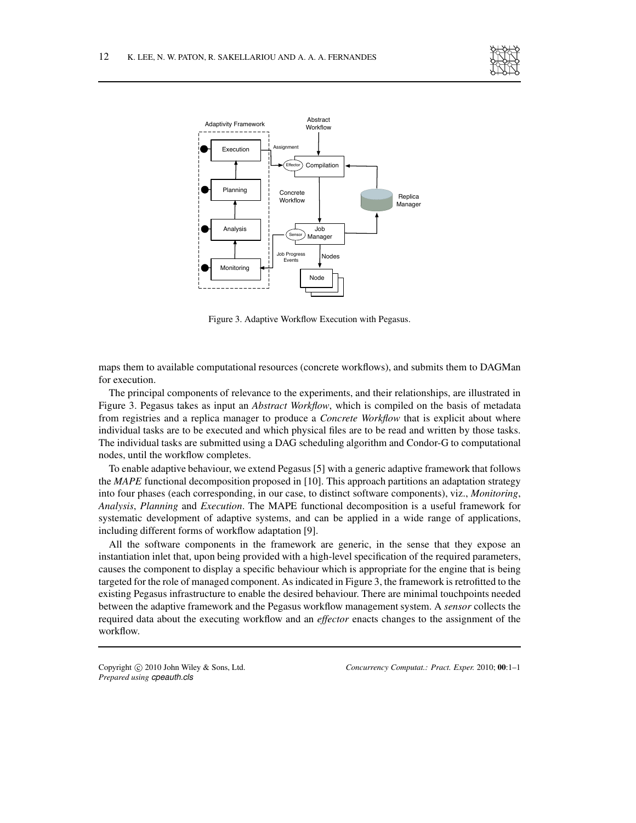



Figure 3. Adaptive Workflow Execution with Pegasus.

maps them to available computational resources (concrete workflows), and submits them to DAGMan for execution.

The principal components of relevance to the experiments, and their relationships, are illustrated in Figure 3. Pegasus takes as input an *Abstract Workflow*, which is compiled on the basis of metadata from registries and a replica manager to produce a *Concrete Workflow* that is explicit about where individual tasks are to be executed and which physical files are to be read and written by those tasks. The individual tasks are submitted using a DAG scheduling algorithm and Condor-G to computational nodes, until the workflow completes.

To enable adaptive behaviour, we extend Pegasus [5] with a generic adaptive framework that follows the *MAPE* functional decomposition proposed in [10]. This approach partitions an adaptation strategy into four phases (each corresponding, in our case, to distinct software components), viz., *Monitoring*, *Analysis*, *Planning* and *Execution*. The MAPE functional decomposition is a useful framework for systematic development of adaptive systems, and can be applied in a wide range of applications, including different forms of workflow adaptation [9].

All the software components in the framework are generic, in the sense that they expose an instantiation inlet that, upon being provided with a high-level specification of the required parameters, causes the component to display a specific behaviour which is appropriate for the engine that is being targeted for the role of managed component. As indicated in Figure 3, the framework is retrofitted to the existing Pegasus infrastructure to enable the desired behaviour. There are minimal touchpoints needed between the adaptive framework and the Pegasus workflow management system. A *sensor* collects the required data about the executing workflow and an *effector* enacts changes to the assignment of the workflow.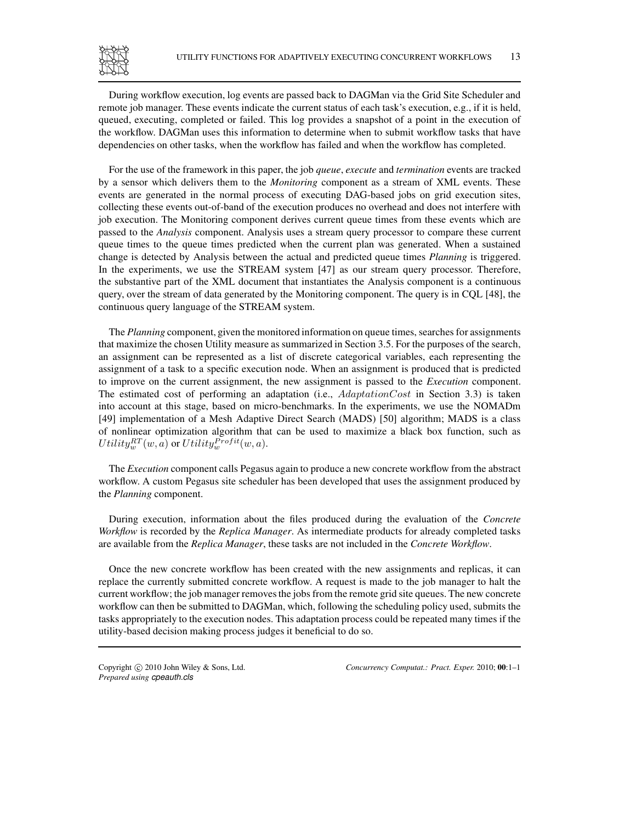

During workflow execution, log events are passed back to DAGMan via the Grid Site Scheduler and remote job manager. These events indicate the current status of each task's execution, e.g., if it is held, queued, executing, completed or failed. This log provides a snapshot of a point in the execution of the workflow. DAGMan uses this information to determine when to submit workflow tasks that have dependencies on other tasks, when the workflow has failed and when the workflow has completed.

For the use of the framework in this paper, the job *queue*, *execute* and *termination* events are tracked by a sensor which delivers them to the *Monitoring* component as a stream of XML events. These events are generated in the normal process of executing DAG-based jobs on grid execution sites, collecting these events out-of-band of the execution produces no overhead and does not interfere with job execution. The Monitoring component derives current queue times from these events which are passed to the *Analysis* component. Analysis uses a stream query processor to compare these current queue times to the queue times predicted when the current plan was generated. When a sustained change is detected by Analysis between the actual and predicted queue times *Planning* is triggered. In the experiments, we use the STREAM system [47] as our stream query processor. Therefore, the substantive part of the XML document that instantiates the Analysis component is a continuous query, over the stream of data generated by the Monitoring component. The query is in CQL [48], the continuous query language of the STREAM system.

The *Planning* component, given the monitored information on queue times, searches for assignments that maximize the chosen Utility measure as summarized in Section 3.5. For the purposes of the search, an assignment can be represented as a list of discrete categorical variables, each representing the assignment of a task to a specific execution node. When an assignment is produced that is predicted to improve on the current assignment, the new assignment is passed to the *Execution* component. The estimated cost of performing an adaptation (i.e.,  $AdaptationCost$  in Section 3.3) is taken into account at this stage, based on micro-benchmarks. In the experiments, we use the NOMADm [49] implementation of a Mesh Adaptive Direct Search (MADS) [50] algorithm; MADS is a class of nonlinear optimization algorithm that can be used to maximize a black box function, such as  $Utility_w^{RT}(w, a)$  or  $Utility_w^{Profit}(w, a)$ .

The *Execution* component calls Pegasus again to produce a new concrete workflow from the abstract workflow. A custom Pegasus site scheduler has been developed that uses the assignment produced by the *Planning* component.

During execution, information about the files produced during the evaluation of the *Concrete Workflow* is recorded by the *Replica Manager*. As intermediate products for already completed tasks are available from the *Replica Manager*, these tasks are not included in the *Concrete Workflow*.

Once the new concrete workflow has been created with the new assignments and replicas, it can replace the currently submitted concrete workflow. A request is made to the job manager to halt the current workflow; the job manager removes the jobs from the remote grid site queues. The new concrete workflow can then be submitted to DAGMan, which, following the scheduling policy used, submits the tasks appropriately to the execution nodes. This adaptation process could be repeated many times if the utility-based decision making process judges it beneficial to do so.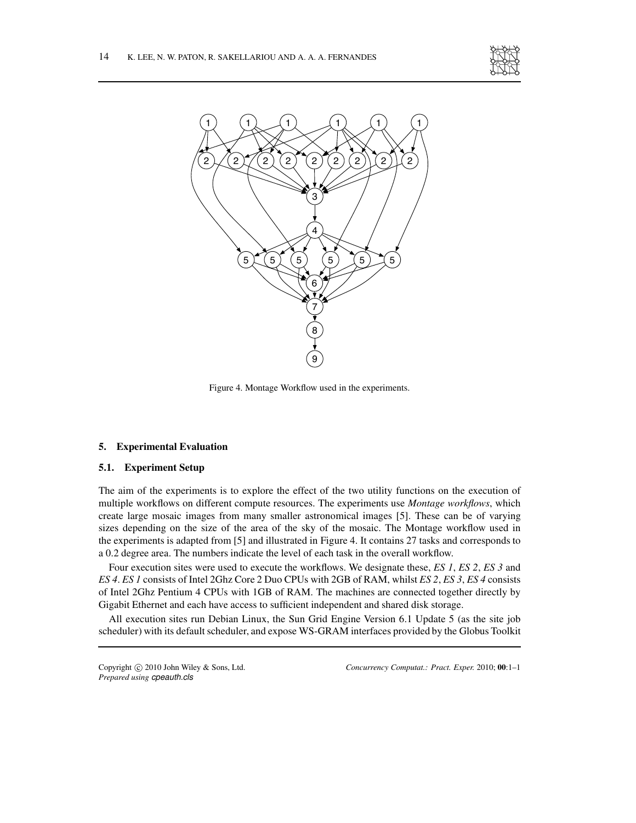



Figure 4. Montage Workflow used in the experiments.

### 5. Experimental Evaluation

### 5.1. Experiment Setup

The aim of the experiments is to explore the effect of the two utility functions on the execution of multiple workflows on different compute resources. The experiments use *Montage workflows*, which create large mosaic images from many smaller astronomical images [5]. These can be of varying sizes depending on the size of the area of the sky of the mosaic. The Montage workflow used in the experiments is adapted from [5] and illustrated in Figure 4. It contains 27 tasks and corresponds to a 0.2 degree area. The numbers indicate the level of each task in the overall workflow.

Four execution sites were used to execute the workflows. We designate these, *ES 1*, *ES 2*, *ES 3* and *ES 4*. *ES 1* consists of Intel 2Ghz Core 2 Duo CPUs with 2GB of RAM, whilst *ES 2*, *ES 3*, *ES 4* consists of Intel 2Ghz Pentium 4 CPUs with 1GB of RAM. The machines are connected together directly by Gigabit Ethernet and each have access to sufficient independent and shared disk storage.

All execution sites run Debian Linux, the Sun Grid Engine Version 6.1 Update 5 (as the site job scheduler) with its default scheduler, and expose WS-GRAM interfaces provided by the Globus Toolkit

*Prepared using cpeauth.cls*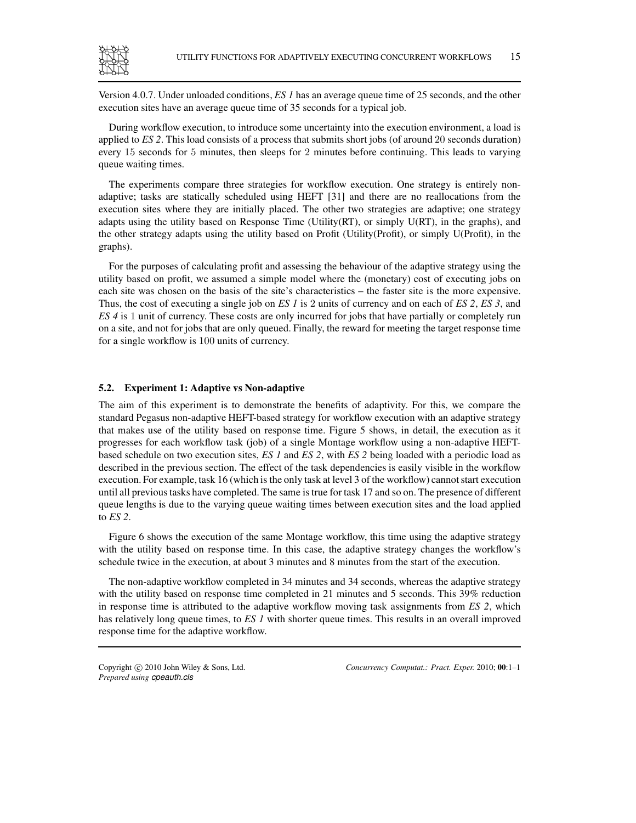

Version 4.0.7. Under unloaded conditions, *ES 1* has an average queue time of 25 seconds, and the other execution sites have an average queue time of 35 seconds for a typical job.

During workflow execution, to introduce some uncertainty into the execution environment, a load is applied to *ES 2*. This load consists of a process that submits short jobs (of around 20 seconds duration) every 15 seconds for 5 minutes, then sleeps for 2 minutes before continuing. This leads to varying queue waiting times.

The experiments compare three strategies for workflow execution. One strategy is entirely nonadaptive; tasks are statically scheduled using HEFT [31] and there are no reallocations from the execution sites where they are initially placed. The other two strategies are adaptive; one strategy adapts using the utility based on Response Time (Utility(RT), or simply U(RT), in the graphs), and the other strategy adapts using the utility based on Profit (Utility(Profit), or simply U(Profit), in the graphs).

For the purposes of calculating profit and assessing the behaviour of the adaptive strategy using the utility based on profit, we assumed a simple model where the (monetary) cost of executing jobs on each site was chosen on the basis of the site's characteristics – the faster site is the more expensive. Thus, the cost of executing a single job on *ES 1* is 2 units of currency and on each of *ES 2*, *ES 3*, and *ES 4* is 1 unit of currency. These costs are only incurred for jobs that have partially or completely run on a site, and not for jobs that are only queued. Finally, the reward for meeting the target response time for a single workflow is 100 units of currency.

# 5.2. Experiment 1: Adaptive vs Non-adaptive

The aim of this experiment is to demonstrate the benefits of adaptivity. For this, we compare the standard Pegasus non-adaptive HEFT-based strategy for workflow execution with an adaptive strategy that makes use of the utility based on response time. Figure 5 shows, in detail, the execution as it progresses for each workflow task (job) of a single Montage workflow using a non-adaptive HEFTbased schedule on two execution sites, *ES 1* and *ES 2*, with *ES 2* being loaded with a periodic load as described in the previous section. The effect of the task dependencies is easily visible in the workflow execution. For example, task 16 (which is the only task at level 3 of the workflow) cannot start execution until all previous tasks have completed. The same is true for task 17 and so on. The presence of different queue lengths is due to the varying queue waiting times between execution sites and the load applied to *ES 2*.

Figure 6 shows the execution of the same Montage workflow, this time using the adaptive strategy with the utility based on response time. In this case, the adaptive strategy changes the workflow's schedule twice in the execution, at about 3 minutes and 8 minutes from the start of the execution.

The non-adaptive workflow completed in 34 minutes and 34 seconds, whereas the adaptive strategy with the utility based on response time completed in 21 minutes and 5 seconds. This 39% reduction in response time is attributed to the adaptive workflow moving task assignments from *ES 2*, which has relatively long queue times, to *ES 1* with shorter queue times. This results in an overall improved response time for the adaptive workflow.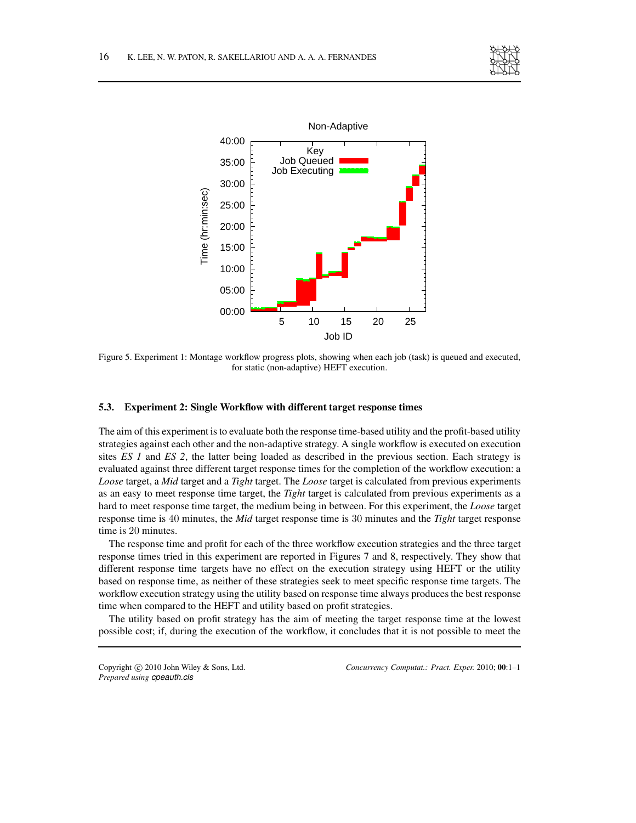



Figure 5. Experiment 1: Montage workflow progress plots, showing when each job (task) is queued and executed, for static (non-adaptive) HEFT execution.

### 5.3. Experiment 2: Single Workflow with different target response times

The aim of this experiment is to evaluate both the response time-based utility and the profit-based utility strategies against each other and the non-adaptive strategy. A single workflow is executed on execution sites *ES 1* and *ES 2*, the latter being loaded as described in the previous section. Each strategy is evaluated against three different target response times for the completion of the workflow execution: a *Loose* target, a *Mid* target and a *Tight* target. The *Loose* target is calculated from previous experiments as an easy to meet response time target, the *Tight* target is calculated from previous experiments as a hard to meet response time target, the medium being in between. For this experiment, the *Loose* target response time is 40 minutes, the *Mid* target response time is 30 minutes and the *Tight* target response time is 20 minutes.

The response time and profit for each of the three workflow execution strategies and the three target response times tried in this experiment are reported in Figures 7 and 8, respectively. They show that different response time targets have no effect on the execution strategy using HEFT or the utility based on response time, as neither of these strategies seek to meet specific response time targets. The workflow execution strategy using the utility based on response time always produces the best response time when compared to the HEFT and utility based on profit strategies.

The utility based on profit strategy has the aim of meeting the target response time at the lowest possible cost; if, during the execution of the workflow, it concludes that it is not possible to meet the

*Prepared using cpeauth.cls*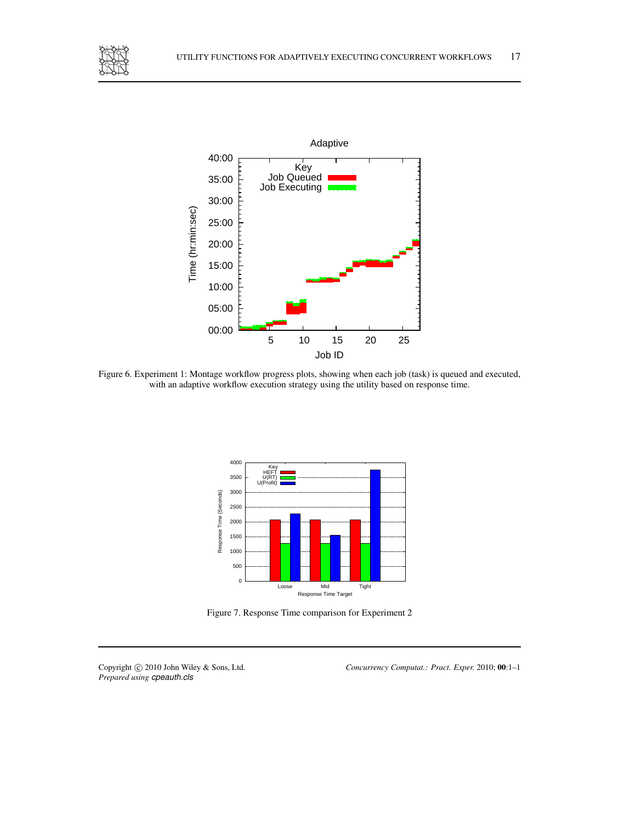



Figure 6. Experiment 1: Montage workflow progress plots, showing when each job (task) is queued and executed, with an adaptive workflow execution strategy using the utility based on response time.



Figure 7. Response Time comparison for Experiment 2

*Prepared using cpeauth.cls*

Copyright  $\odot$  2010 John Wiley & Sons, Ltd. *Concurrency Computat.: Pract. Exper.* 2010; 00:1-1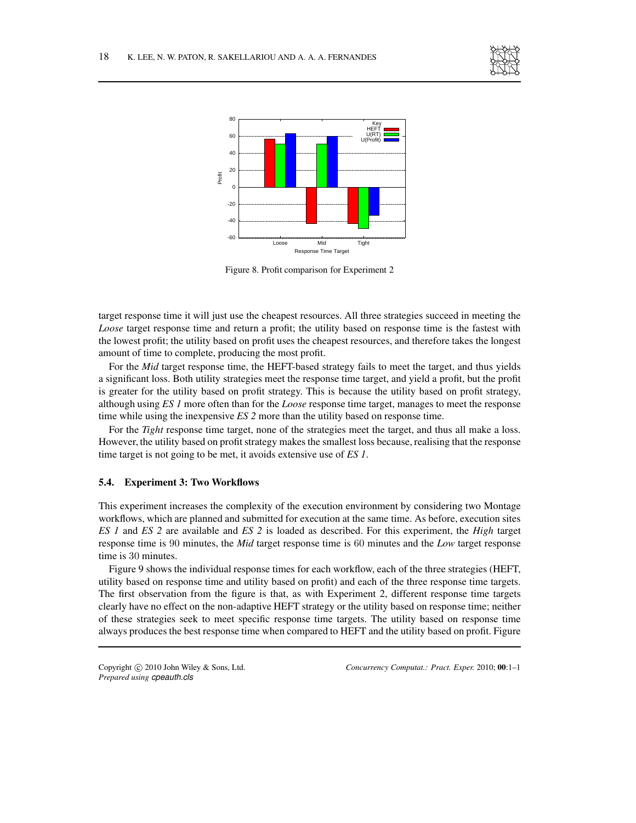



Figure 8. Profit comparison for Experiment 2

target response time it will just use the cheapest resources. All three strategies succeed in meeting the *Loose* target response time and return a profit; the utility based on response time is the fastest with the lowest profit; the utility based on profit uses the cheapest resources, and therefore takes the longest amount of time to complete, producing the most profit.

For the *Mid* target response time, the HEFT-based strategy fails to meet the target, and thus yields a significant loss. Both utility strategies meet the response time target, and yield a profit, but the profit is greater for the utility based on profit strategy. This is because the utility based on profit strategy, although using *ES 1* more often than for the *Loose* response time target, manages to meet the response time while using the inexpensive *ES 2* more than the utility based on response time.

For the *Tight* response time target, none of the strategies meet the target, and thus all make a loss. However, the utility based on profit strategy makes the smallest loss because, realising that the response time target is not going to be met, it avoids extensive use of *ES 1*.

#### 5.4. Experiment 3: Two Workflows

This experiment increases the complexity of the execution environment by considering two Montage workflows, which are planned and submitted for execution at the same time. As before, execution sites *ES 1* and *ES 2* are available and *ES 2* is loaded as described. For this experiment, the *High* target response time is 90 minutes, the *Mid* target response time is 60 minutes and the *Low* target response time is 30 minutes.

Figure 9 shows the individual response times for each workflow, each of the three strategies (HEFT, utility based on response time and utility based on profit) and each of the three response time targets. The first observation from the figure is that, as with Experiment 2, different response time targets clearly have no effect on the non-adaptive HEFT strategy or the utility based on response time; neither of these strategies seek to meet specific response time targets. The utility based on response time always produces the best response time when compared to HEFT and the utility based on profit. Figure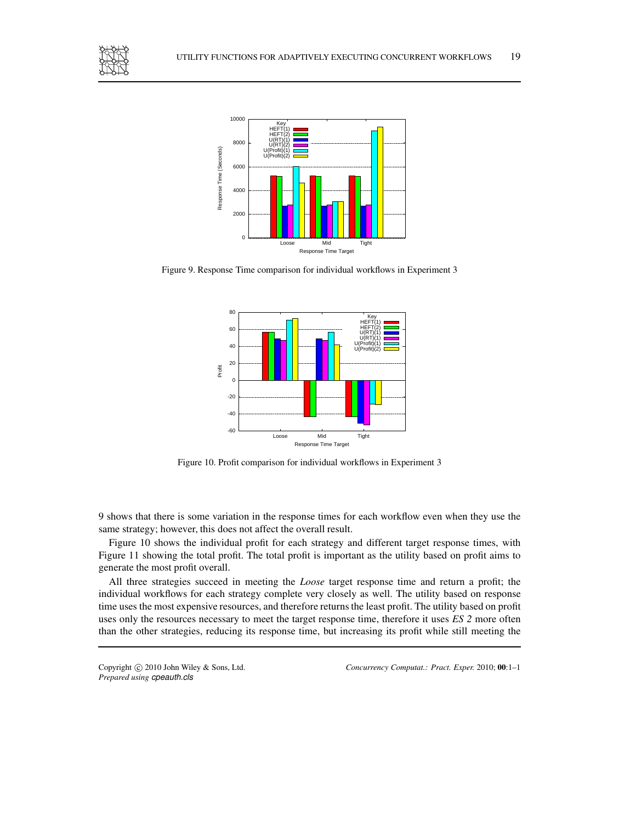



Figure 9. Response Time comparison for individual workflows in Experiment 3



Figure 10. Profit comparison for individual workflows in Experiment 3

9 shows that there is some variation in the response times for each workflow even when they use the same strategy; however, this does not affect the overall result.

Figure 10 shows the individual profit for each strategy and different target response times, with Figure 11 showing the total profit. The total profit is important as the utility based on profit aims to generate the most profit overall.

All three strategies succeed in meeting the *Loose* target response time and return a profit; the individual workflows for each strategy complete very closely as well. The utility based on response time uses the most expensive resources, and therefore returns the least profit. The utility based on profit uses only the resources necessary to meet the target response time, therefore it uses *ES 2* more often than the other strategies, reducing its response time, but increasing its profit while still meeting the

*Prepared using cpeauth.cls*

Copyright 
copyright 
copyright 
concurrency Computat.: Pract. Exper. 2010; 00:1-1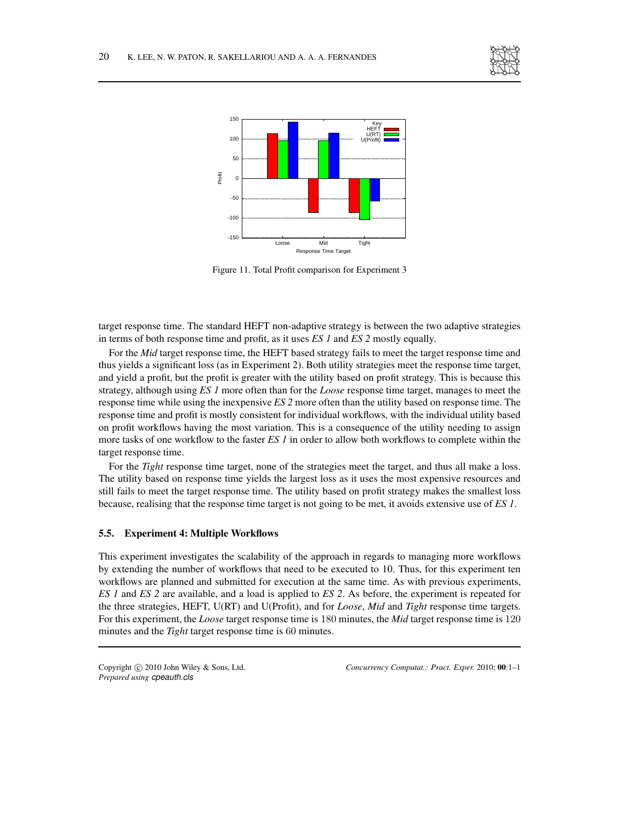



Figure 11. Total Profit comparison for Experiment 3

target response time. The standard HEFT non-adaptive strategy is between the two adaptive strategies in terms of both response time and profit, as it uses *ES 1* and *ES 2* mostly equally.

For the *Mid* target response time, the HEFT based strategy fails to meet the target response time and thus yields a significant loss (as in Experiment 2). Both utility strategies meet the response time target, and yield a profit, but the profit is greater with the utility based on profit strategy. This is because this strategy, although using *ES 1* more often than for the *Loose* response time target, manages to meet the response time while using the inexpensive *ES 2* more often than the utility based on response time. The response time and profit is mostly consistent for individual workflows, with the individual utility based on profit workflows having the most variation. This is a consequence of the utility needing to assign more tasks of one workflow to the faster *ES 1* in order to allow both workflows to complete within the target response time.

For the *Tight* response time target, none of the strategies meet the target, and thus all make a loss. The utility based on response time yields the largest loss as it uses the most expensive resources and still fails to meet the target response time. The utility based on profit strategy makes the smallest loss because, realising that the response time target is not going to be met, it avoids extensive use of *ES 1*.

# 5.5. Experiment 4: Multiple Workflows

This experiment investigates the scalability of the approach in regards to managing more workflows by extending the number of workflows that need to be executed to 10. Thus, for this experiment ten workflows are planned and submitted for execution at the same time. As with previous experiments, *ES 1* and *ES 2* are available, and a load is applied to *ES 2*. As before, the experiment is repeated for the three strategies, HEFT, U(RT) and U(Profit), and for *Loose*, *Mid* and *Tight* response time targets. For this experiment, the *Loose* target response time is 180 minutes, the *Mid* target response time is 120 minutes and the *Tight* target response time is 60 minutes.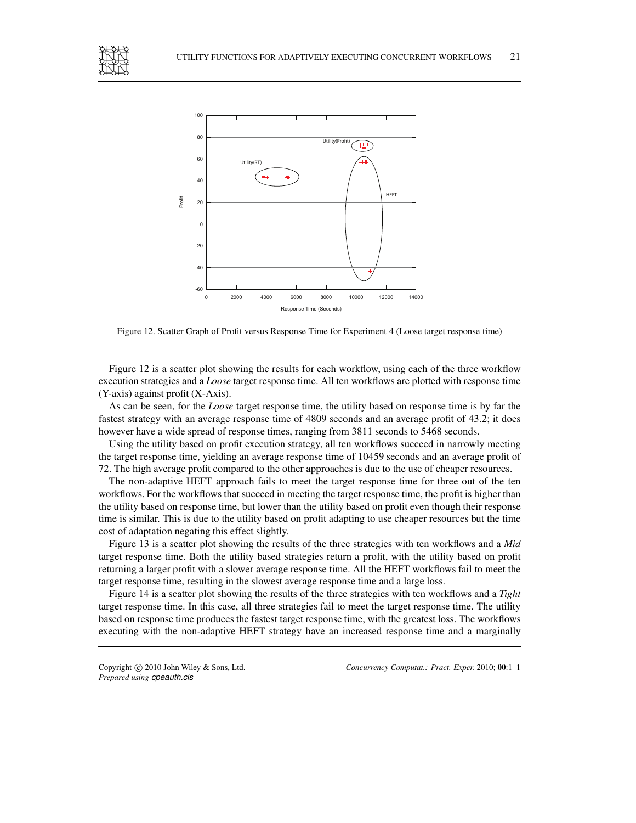



Figure 12. Scatter Graph of Profit versus Response Time for Experiment 4 (Loose target response time)

Figure 12 is a scatter plot showing the results for each workflow, using each of the three workflow execution strategies and a *Loose* target response time. All ten workflows are plotted with response time (Y-axis) against profit (X-Axis).

As can be seen, for the *Loose* target response time, the utility based on response time is by far the fastest strategy with an average response time of 4809 seconds and an average profit of 43.2; it does however have a wide spread of response times, ranging from 3811 seconds to 5468 seconds.

Using the utility based on profit execution strategy, all ten workflows succeed in narrowly meeting the target response time, yielding an average response time of 10459 seconds and an average profit of 72. The high average profit compared to the other approaches is due to the use of cheaper resources.

The non-adaptive HEFT approach fails to meet the target response time for three out of the ten workflows. For the workflows that succeed in meeting the target response time, the profit is higher than the utility based on response time, but lower than the utility based on profit even though their response time is similar. This is due to the utility based on profit adapting to use cheaper resources but the time cost of adaptation negating this effect slightly.

Figure 13 is a scatter plot showing the results of the three strategies with ten workflows and a *Mid* target response time. Both the utility based strategies return a profit, with the utility based on profit returning a larger profit with a slower average response time. All the HEFT workflows fail to meet the target response time, resulting in the slowest average response time and a large loss.

Figure 14 is a scatter plot showing the results of the three strategies with ten workflows and a *Tight* target response time. In this case, all three strategies fail to meet the target response time. The utility based on response time produces the fastest target response time, with the greatest loss. The workflows executing with the non-adaptive HEFT strategy have an increased response time and a marginally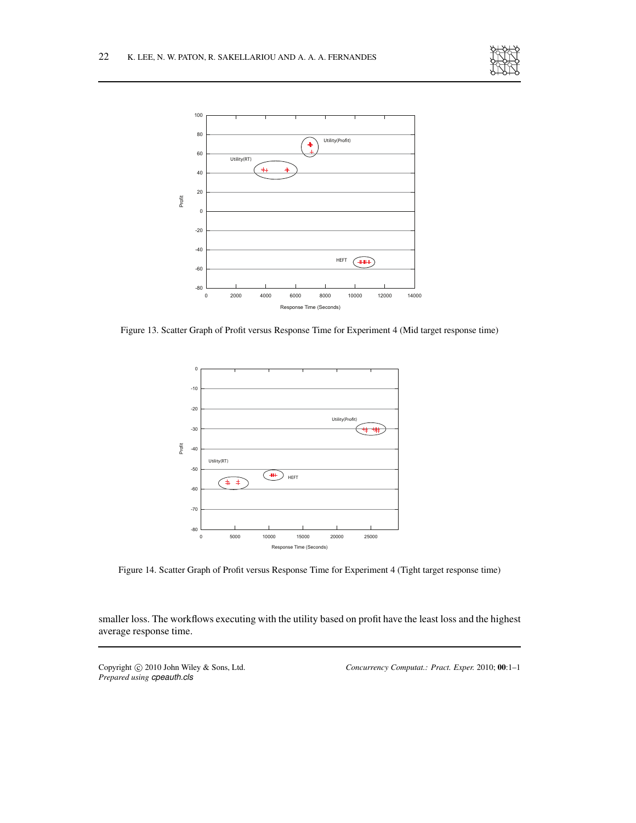



Figure 13. Scatter Graph of Profit versus Response Time for Experiment 4 (Mid target response time)



Figure 14. Scatter Graph of Profit versus Response Time for Experiment 4 (Tight target response time)

smaller loss. The workflows executing with the utility based on profit have the least loss and the highest average response time.

*Prepared using cpeauth.cls*

Copyright  $\odot$  2010 John Wiley & Sons, Ltd. *Concurrency Computat.: Pract. Exper.* 2010; 00:1-1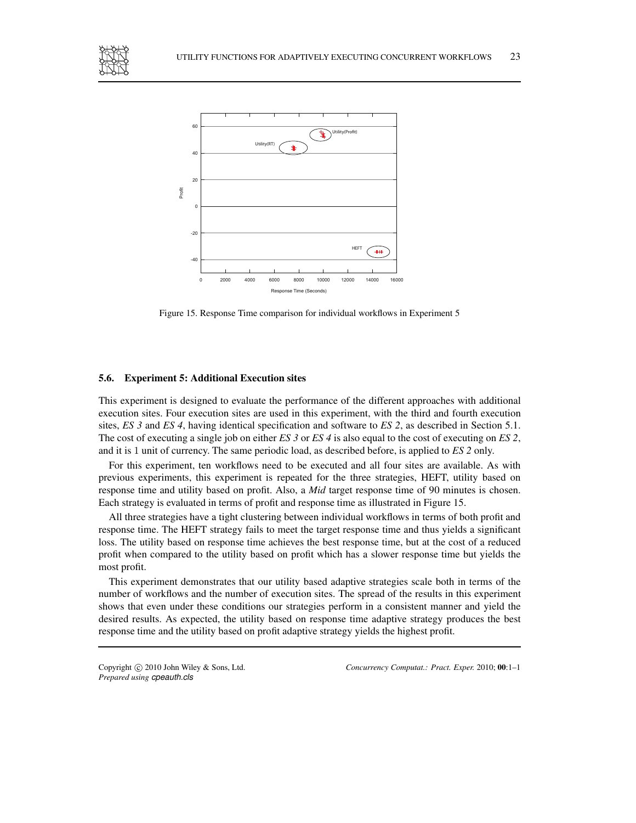



Figure 15. Response Time comparison for individual workflows in Experiment 5

### 5.6. Experiment 5: Additional Execution sites

This experiment is designed to evaluate the performance of the different approaches with additional execution sites. Four execution sites are used in this experiment, with the third and fourth execution sites, *ES 3* and *ES 4*, having identical specification and software to *ES 2*, as described in Section 5.1. The cost of executing a single job on either *ES 3* or *ES 4* is also equal to the cost of executing on *ES 2*, and it is 1 unit of currency. The same periodic load, as described before, is applied to *ES 2* only.

For this experiment, ten workflows need to be executed and all four sites are available. As with previous experiments, this experiment is repeated for the three strategies, HEFT, utility based on response time and utility based on profit. Also, a *Mid* target response time of 90 minutes is chosen. Each strategy is evaluated in terms of profit and response time as illustrated in Figure 15.

All three strategies have a tight clustering between individual workflows in terms of both profit and response time. The HEFT strategy fails to meet the target response time and thus yields a significant loss. The utility based on response time achieves the best response time, but at the cost of a reduced profit when compared to the utility based on profit which has a slower response time but yields the most profit.

This experiment demonstrates that our utility based adaptive strategies scale both in terms of the number of workflows and the number of execution sites. The spread of the results in this experiment shows that even under these conditions our strategies perform in a consistent manner and yield the desired results. As expected, the utility based on response time adaptive strategy produces the best response time and the utility based on profit adaptive strategy yields the highest profit.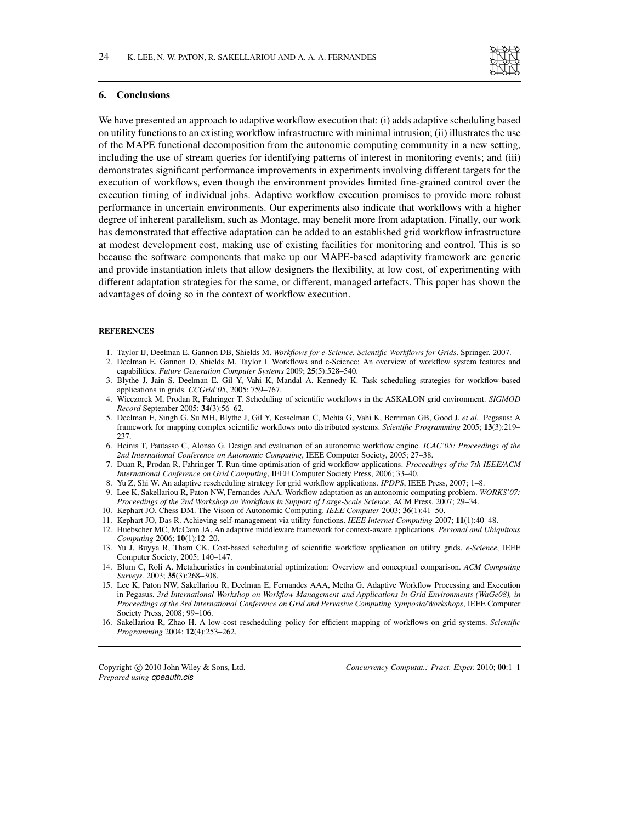

### 6. Conclusions

We have presented an approach to adaptive workflow execution that: (i) adds adaptive scheduling based on utility functions to an existing workflow infrastructure with minimal intrusion; (ii) illustrates the use of the MAPE functional decomposition from the autonomic computing community in a new setting, including the use of stream queries for identifying patterns of interest in monitoring events; and (iii) demonstrates significant performance improvements in experiments involving different targets for the execution of workflows, even though the environment provides limited fine-grained control over the execution timing of individual jobs. Adaptive workflow execution promises to provide more robust performance in uncertain environments. Our experiments also indicate that workflows with a higher degree of inherent parallelism, such as Montage, may benefit more from adaptation. Finally, our work has demonstrated that effective adaptation can be added to an established grid workflow infrastructure at modest development cost, making use of existing facilities for monitoring and control. This is so because the software components that make up our MAPE-based adaptivity framework are generic and provide instantiation inlets that allow designers the flexibility, at low cost, of experimenting with different adaptation strategies for the same, or different, managed artefacts. This paper has shown the advantages of doing so in the context of workflow execution.

### **REFERENCES**

- 1. Taylor IJ, Deelman E, Gannon DB, Shields M. *Workflows for e-Science. Scientific Workflows for Grids*. Springer, 2007.
- 2. Deelman E, Gannon D, Shields M, Taylor I. Workflows and e-Science: An overview of workflow system features and capabilities. *Future Generation Computer Systems* 2009; 25(5):528–540.
- 3. Blythe J, Jain S, Deelman E, Gil Y, Vahi K, Mandal A, Kennedy K. Task scheduling strategies for workflow-based applications in grids. *CCGrid'05*, 2005; 759–767.
- 4. Wieczorek M, Prodan R, Fahringer T. Scheduling of scientific workflows in the ASKALON grid environment. *SIGMOD Record* September 2005; 34(3):56–62.
- 5. Deelman E, Singh G, Su MH, Blythe J, Gil Y, Kesselman C, Mehta G, Vahi K, Berriman GB, Good J, *et al.*. Pegasus: A framework for mapping complex scientific workflows onto distributed systems. *Scientific Programming* 2005; 13(3):219– 237.
- 6. Heinis T, Pautasso C, Alonso G. Design and evaluation of an autonomic workflow engine. *ICAC'05: Proceedings of the 2nd International Conference on Autonomic Computing*, IEEE Computer Society, 2005; 27–38.
- 7. Duan R, Prodan R, Fahringer T. Run-time optimisation of grid workflow applications. *Proceedings of the 7th IEEE/ACM International Conference on Grid Computing*, IEEE Computer Society Press, 2006; 33–40.
- 8. Yu Z, Shi W. An adaptive rescheduling strategy for grid workflow applications. *IPDPS*, IEEE Press, 2007; 1–8.
- 9. Lee K, Sakellariou R, Paton NW, Fernandes AAA. Workflow adaptation as an autonomic computing problem. *WORKS'07: Proceedings of the 2nd Workshop on Workflows in Support of Large-Scale Science*, ACM Press, 2007; 29–34.
- 10. Kephart JO, Chess DM. The Vision of Autonomic Computing. *IEEE Computer* 2003; 36(1):41–50.
- 11. Kephart JO, Das R. Achieving self-management via utility functions. *IEEE Internet Computing* 2007; 11(1):40–48.
- 12. Huebscher MC, McCann JA. An adaptive middleware framework for context-aware applications. *Personal and Ubiquitous Computing* 2006; 10(1):12–20.
- 13. Yu J, Buyya R, Tham CK. Cost-based scheduling of scientific workflow application on utility grids. *e-Science*, IEEE Computer Society, 2005; 140–147.
- 14. Blum C, Roli A. Metaheuristics in combinatorial optimization: Overview and conceptual comparison. *ACM Computing Surveys.* 2003; 35(3):268–308.
- 15. Lee K, Paton NW, Sakellariou R, Deelman E, Fernandes AAA, Metha G. Adaptive Workflow Processing and Execution in Pegasus. *3rd International Workshop on Workflow Management and Applications in Grid Environments (WaGe08), in Proceedings of the 3rd International Conference on Grid and Pervasive Computing Symposia/Workshops*, IEEE Computer Society Press, 2008; 99–106.
- 16. Sakellariou R, Zhao H. A low-cost rescheduling policy for efficient mapping of workflows on grid systems. *Scientific Programming* 2004; 12(4):253–262.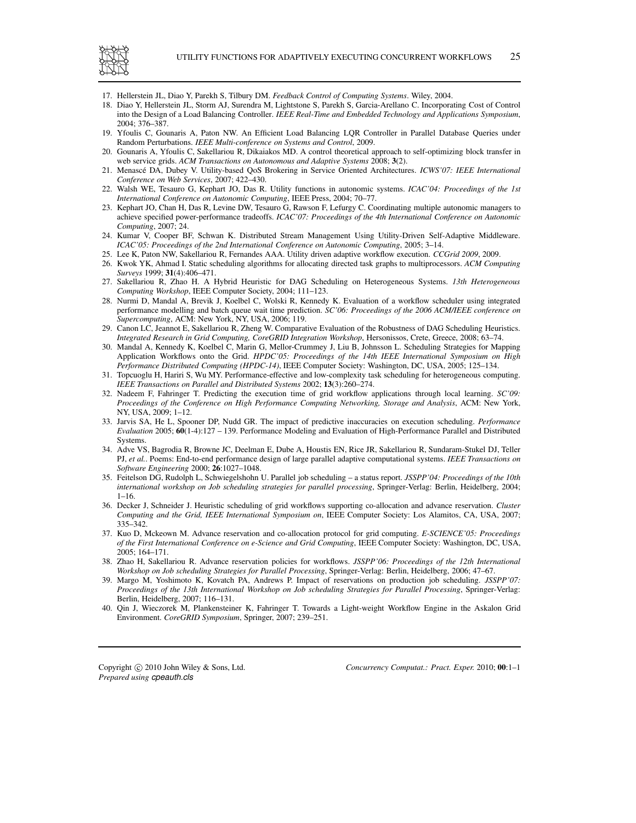

- 17. Hellerstein JL, Diao Y, Parekh S, Tilbury DM. *Feedback Control of Computing Systems*. Wiley, 2004.
- 18. Diao Y, Hellerstein JL, Storm AJ, Surendra M, Lightstone S, Parekh S, Garcia-Arellano C. Incorporating Cost of Control into the Design of a Load Balancing Controller. *IEEE Real-Time and Embedded Technology and Applications Symposium*, 2004; 376–387.
- 19. Yfoulis C, Gounaris A, Paton NW. An Efficient Load Balancing LQR Controller in Parallel Database Queries under Random Perturbations. *IEEE Multi-conference on Systems and Control*, 2009.
- 20. Gounaris A, Yfoulis C, Sakellariou R, Dikaiakos MD. A control theoretical approach to self-optimizing block transfer in web service grids. *ACM Transactions on Autonomous and Adaptive Systems* 2008; 3(2).
- 21. Menasc´e DA, Dubey V. Utility-based QoS Brokering in Service Oriented Architectures. *ICWS'07: IEEE International Conference on Web Services*, 2007; 422–430.
- 22. Walsh WE, Tesauro G, Kephart JO, Das R. Utility functions in autonomic systems. *ICAC'04: Proceedings of the 1st International Conference on Autonomic Computing*, IEEE Press, 2004; 70–77.
- 23. Kephart JO, Chan H, Das R, Levine DW, Tesauro G, Rawson F, Lefurgy C. Coordinating multiple autonomic managers to achieve specified power-performance tradeoffs. *ICAC'07: Proceedings of the 4th International Conference on Autonomic Computing*, 2007; 24.
- 24. Kumar V, Cooper BF, Schwan K. Distributed Stream Management Using Utility-Driven Self-Adaptive Middleware. *ICAC'05: Proceedings of the 2nd International Conference on Autonomic Computing*, 2005; 3–14.
- 25. Lee K, Paton NW, Sakellariou R, Fernandes AAA. Utility driven adaptive workflow execution. *CCGrid 2009*, 2009.
- 26. Kwok YK, Ahmad I. Static scheduling algorithms for allocating directed task graphs to multiprocessors. *ACM Computing Surveys* 1999; 31(4):406–471.
- 27. Sakellariou R, Zhao H. A Hybrid Heuristic for DAG Scheduling on Heterogeneous Systems. *13th Heterogeneous Computing Workshop*, IEEE Computer Society, 2004; 111–123.
- 28. Nurmi D, Mandal A, Brevik J, Koelbel C, Wolski R, Kennedy K. Evaluation of a workflow scheduler using integrated performance modelling and batch queue wait time prediction. *SC'06: Proceedings of the 2006 ACM/IEEE conference on Supercomputing*, ACM: New York, NY, USA, 2006; 119.
- 29. Canon LC, Jeannot E, Sakellariou R, Zheng W. Comparative Evaluation of the Robustness of DAG Scheduling Heuristics. *Integrated Research in Grid Computing, CoreGRID Integration Workshop*, Hersonissos, Crete, Greece, 2008; 63–74.
- 30. Mandal A, Kennedy K, Koelbel C, Marin G, Mellor-Crummey J, Liu B, Johnsson L. Scheduling Strategies for Mapping Application Workflows onto the Grid. *HPDC'05: Proceedings of the 14th IEEE International Symposium on High Performance Distributed Computing (HPDC-14)*, IEEE Computer Society: Washington, DC, USA, 2005; 125–134.
- 31. Topcuoglu H, Hariri S, Wu MY. Performance-effective and low-complexity task scheduling for heterogeneous computing. *IEEE Transactions on Parallel and Distributed Systems* 2002; 13(3):260–274.
- 32. Nadeem F, Fahringer T. Predicting the execution time of grid workflow applications through local learning. *SC'09: Proceedings of the Conference on High Performance Computing Networking, Storage and Analysis*, ACM: New York, NY, USA, 2009; 1–12.
- 33. Jarvis SA, He L, Spooner DP, Nudd GR. The impact of predictive inaccuracies on execution scheduling. *Performance Evaluation* 2005; 60(1-4):127 – 139. Performance Modeling and Evaluation of High-Performance Parallel and Distributed Systems.
- 34. Adve VS, Bagrodia R, Browne JC, Deelman E, Dube A, Houstis EN, Rice JR, Sakellariou R, Sundaram-Stukel DJ, Teller PJ, *et al.*. Poems: End-to-end performance design of large parallel adaptive computational systems. *IEEE Transactions on Software Engineering* 2000; 26:1027–1048.
- 35. Feitelson DG, Rudolph L, Schwiegelshohn U. Parallel job scheduling a status report. *JSSPP'04: Proceedings of the 10th international workshop on Job scheduling strategies for parallel processing*, Springer-Verlag: Berlin, Heidelberg, 2004; 1–16.
- 36. Decker J, Schneider J. Heuristic scheduling of grid workflows supporting co-allocation and advance reservation. *Cluster Computing and the Grid, IEEE International Symposium on*, IEEE Computer Society: Los Alamitos, CA, USA, 2007; 335–342.
- 37. Kuo D, Mckeown M. Advance reservation and co-allocation protocol for grid computing. *E-SCIENCE'05: Proceedings of the First International Conference on e-Science and Grid Computing*, IEEE Computer Society: Washington, DC, USA,  $2005:164-171.$
- 38. Zhao H, Sakellariou R. Advance reservation policies for workflows. *JSSPP'06: Proceedings of the 12th International Workshop on Job scheduling Strategies for Parallel Processing*, Springer-Verlag: Berlin, Heidelberg, 2006; 47–67.
- 39. Margo M, Yoshimoto K, Kovatch PA, Andrews P. Impact of reservations on production job scheduling. *JSSPP'07: Proceedings of the 13th International Workshop on Job scheduling Strategies for Parallel Processing*, Springer-Verlag: Berlin, Heidelberg, 2007; 116–131.
- 40. Qin J, Wieczorek M, Plankensteiner K, Fahringer T. Towards a Light-weight Workflow Engine in the Askalon Grid Environment. *CoreGRID Symposium*, Springer, 2007; 239–251.

*Prepared using cpeauth.cls*

Copyright  $\odot$  2010 John Wiley & Sons, Ltd. *Concurrency Computat.: Pract. Exper.* 2010; 00:1-1